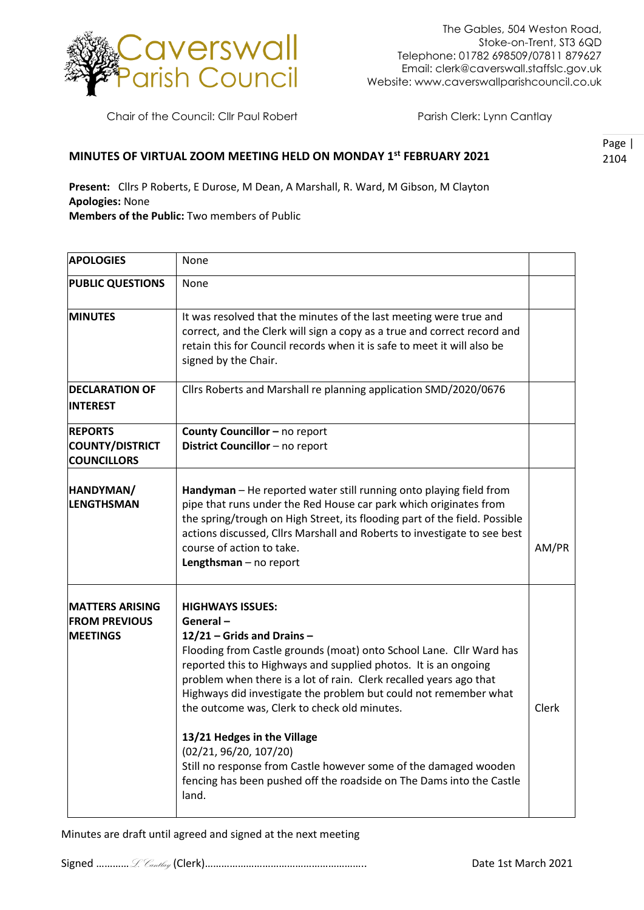

Chair of the Council: Cllr Paul Robert Parish Clerk: Lynn Cantlay

## **MINUTES OF VIRTUAL ZOOM MEETING HELD ON MONDAY 1st FEBRUARY 2021**

Page | 2104

**Present:** Cllrs P Roberts, E Durose, M Dean, A Marshall, R. Ward, M Gibson, M Clayton **Apologies:** None **Members of the Public:** Two members of Public

**APOLOGIES** None **PUBLIC QUESTIONS** None **MINUTES** It was resolved that the minutes of the last meeting were true and correct, and the Clerk will sign a copy as a true and correct record and retain this for Council records when it is safe to meet it will also be signed by the Chair. **DECLARATION OF INTEREST** Cllrs Roberts and Marshall re planning application SMD/2020/0676 **REPORTS COUNTY/DISTRICT COUNCILLORS County Councillor - no report District Councillor** – no report **HANDYMAN/ LENGTHSMAN Handyman** – He reported water still running onto playing field from pipe that runs under the Red House car park which originates from the spring/trough on High Street, its flooding part of the field. Possible actions discussed, Cllrs Marshall and Roberts to investigate to see best course of action to take. **Lengthsman** – no report AM/PR **MATTERS ARISING FROM PREVIOUS MEETINGS HIGHWAYS ISSUES: General – 12/21 – Grids and Drains –** Flooding from Castle grounds (moat) onto School Lane. Cllr Ward has reported this to Highways and supplied photos. It is an ongoing problem when there is a lot of rain. Clerk recalled years ago that Highways did investigate the problem but could not remember what the outcome was, Clerk to check old minutes. **13/21 Hedges in the Village** (02/21, 96/20, 107/20) Still no response from Castle however some of the damaged wooden fencing has been pushed off the roadside on The Dams into the Castle land. Clerk

Minutes are draft until agreed and signed at the next meeting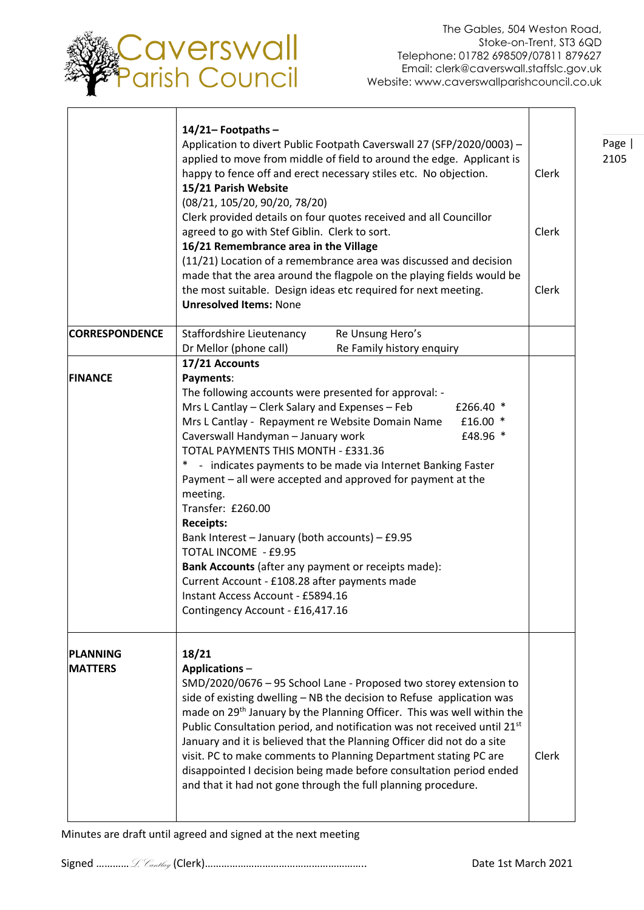

Page | 2105

┑

Τ

|                                   | $14/21 -$ Footpaths -<br>Application to divert Public Footpath Caverswall 27 (SFP/2020/0003) -<br>applied to move from middle of field to around the edge. Applicant is<br>happy to fence off and erect necessary stiles etc. No objection.<br>15/21 Parish Website<br>(08/21, 105/20, 90/20, 78/20)<br>Clerk provided details on four quotes received and all Councillor<br>agreed to go with Stef Giblin. Clerk to sort.<br>16/21 Remembrance area in the Village<br>(11/21) Location of a remembrance area was discussed and decision<br>made that the area around the flagpole on the playing fields would be<br>the most suitable. Design ideas etc required for next meeting.<br><b>Unresolved Items: None</b>                                                     | Clerk<br>Clerk<br>Clerk |
|-----------------------------------|--------------------------------------------------------------------------------------------------------------------------------------------------------------------------------------------------------------------------------------------------------------------------------------------------------------------------------------------------------------------------------------------------------------------------------------------------------------------------------------------------------------------------------------------------------------------------------------------------------------------------------------------------------------------------------------------------------------------------------------------------------------------------|-------------------------|
| <b>CORRESPONDENCE</b>             | Staffordshire Lieutenancy<br>Re Unsung Hero's<br>Dr Mellor (phone call)<br>Re Family history enquiry                                                                                                                                                                                                                                                                                                                                                                                                                                                                                                                                                                                                                                                                     |                         |
| <b>FINANCE</b>                    | 17/21 Accounts<br>Payments:<br>The following accounts were presented for approval: -<br>Mrs L Cantlay – Clerk Salary and Expenses – Feb<br>£266.40 $*$<br>Mrs L Cantlay - Repayment re Website Domain Name<br>£16.00 *<br>Caverswall Handyman - January work<br>£48.96 *<br>TOTAL PAYMENTS THIS MONTH - £331.36<br>$\ast$<br>- indicates payments to be made via Internet Banking Faster<br>Payment - all were accepted and approved for payment at the<br>meeting.<br>Transfer: £260.00<br><b>Receipts:</b><br>Bank Interest - January (both accounts) - £9.95<br>TOTAL INCOME - £9.95<br>Bank Accounts (after any payment or receipts made):<br>Current Account - £108.28 after payments made<br>Instant Access Account - £5894.16<br>Contingency Account - £16,417.16 |                         |
| <b>PLANNING</b><br><b>MATTERS</b> | 18/21<br><b>Applications-</b><br>SMD/2020/0676 - 95 School Lane - Proposed two storey extension to<br>side of existing dwelling - NB the decision to Refuse application was<br>made on 29 <sup>th</sup> January by the Planning Officer. This was well within the<br>Public Consultation period, and notification was not received until 21 <sup>st</sup><br>January and it is believed that the Planning Officer did not do a site<br>visit. PC to make comments to Planning Department stating PC are<br>disappointed I decision being made before consultation period ended<br>and that it had not gone through the full planning procedure.                                                                                                                          | Clerk                   |

Minutes are draft until agreed and signed at the next meeting